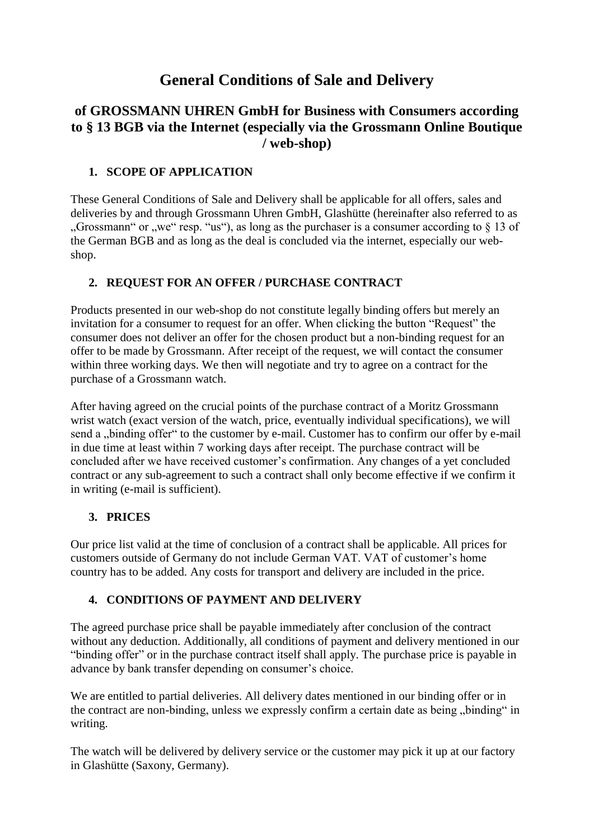# **General Conditions of Sale and Delivery**

## **of GROSSMANN UHREN GmbH for Business with Consumers according to § 13 BGB via the Internet (especially via the Grossmann Online Boutique / web-shop)**

## **1. SCOPE OF APPLICATION**

These General Conditions of Sale and Delivery shall be applicable for all offers, sales and deliveries by and through Grossmann Uhren GmbH, Glashütte (hereinafter also referred to as "Grossmann" or "we" resp. "us"), as long as the purchaser is a consumer according to  $\S$  13 of the German BGB and as long as the deal is concluded via the internet, especially our webshop.

## **2. REQUEST FOR AN OFFER / PURCHASE CONTRACT**

Products presented in our web-shop do not constitute legally binding offers but merely an invitation for a consumer to request for an offer. When clicking the button "Request" the consumer does not deliver an offer for the chosen product but a non-binding request for an offer to be made by Grossmann. After receipt of the request, we will contact the consumer within three working days. We then will negotiate and try to agree on a contract for the purchase of a Grossmann watch.

After having agreed on the crucial points of the purchase contract of a Moritz Grossmann wrist watch (exact version of the watch, price, eventually individual specifications), we will send a "binding offer" to the customer by e-mail. Customer has to confirm our offer by e-mail in due time at least within 7 working days after receipt. The purchase contract will be concluded after we have received customer's confirmation. Any changes of a yet concluded contract or any sub-agreement to such a contract shall only become effective if we confirm it in writing (e-mail is sufficient).

## **3. PRICES**

Our price list valid at the time of conclusion of a contract shall be applicable. All prices for customers outside of Germany do not include German VAT. VAT of customer's home country has to be added. Any costs for transport and delivery are included in the price.

## **4. CONDITIONS OF PAYMENT AND DELIVERY**

The agreed purchase price shall be payable immediately after conclusion of the contract without any deduction. Additionally, all conditions of payment and delivery mentioned in our "binding offer" or in the purchase contract itself shall apply. The purchase price is payable in advance by bank transfer depending on consumer's choice.

We are entitled to partial deliveries. All delivery dates mentioned in our binding offer or in the contract are non-binding, unless we expressly confirm a certain date as being "binding" in writing.

The watch will be delivered by delivery service or the customer may pick it up at our factory in Glashütte (Saxony, Germany).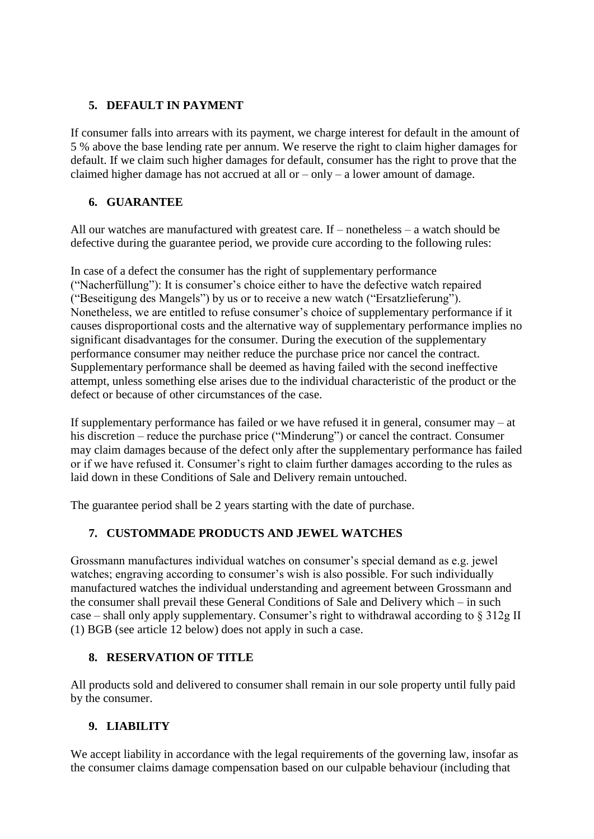## **5. DEFAULT IN PAYMENT**

If consumer falls into arrears with its payment, we charge interest for default in the amount of 5 % above the base lending rate per annum. We reserve the right to claim higher damages for default. If we claim such higher damages for default, consumer has the right to prove that the claimed higher damage has not accrued at all or  $-\text{only} - a$  lower amount of damage.

## **6. GUARANTEE**

All our watches are manufactured with greatest care. If – nonetheless – a watch should be defective during the guarantee period, we provide cure according to the following rules:

In case of a defect the consumer has the right of supplementary performance ("Nacherfüllung"): It is consumer's choice either to have the defective watch repaired ("Beseitigung des Mangels") by us or to receive a new watch ("Ersatzlieferung"). Nonetheless, we are entitled to refuse consumer's choice of supplementary performance if it causes disproportional costs and the alternative way of supplementary performance implies no significant disadvantages for the consumer. During the execution of the supplementary performance consumer may neither reduce the purchase price nor cancel the contract. Supplementary performance shall be deemed as having failed with the second ineffective attempt, unless something else arises due to the individual characteristic of the product or the defect or because of other circumstances of the case.

If supplementary performance has failed or we have refused it in general, consumer may – at his discretion – reduce the purchase price ("Minderung") or cancel the contract. Consumer may claim damages because of the defect only after the supplementary performance has failed or if we have refused it. Consumer's right to claim further damages according to the rules as laid down in these Conditions of Sale and Delivery remain untouched.

The guarantee period shall be 2 years starting with the date of purchase.

## **7. CUSTOMMADE PRODUCTS AND JEWEL WATCHES**

Grossmann manufactures individual watches on consumer's special demand as e.g. jewel watches; engraving according to consumer's wish is also possible. For such individually manufactured watches the individual understanding and agreement between Grossmann and the consumer shall prevail these General Conditions of Sale and Delivery which – in such case – shall only apply supplementary. Consumer's right to withdrawal according to § 312g II (1) BGB (see article 12 below) does not apply in such a case.

#### **8. RESERVATION OF TITLE**

All products sold and delivered to consumer shall remain in our sole property until fully paid by the consumer.

#### **9. LIABILITY**

We accept liability in accordance with the legal requirements of the governing law, insofar as the consumer claims damage compensation based on our culpable behaviour (including that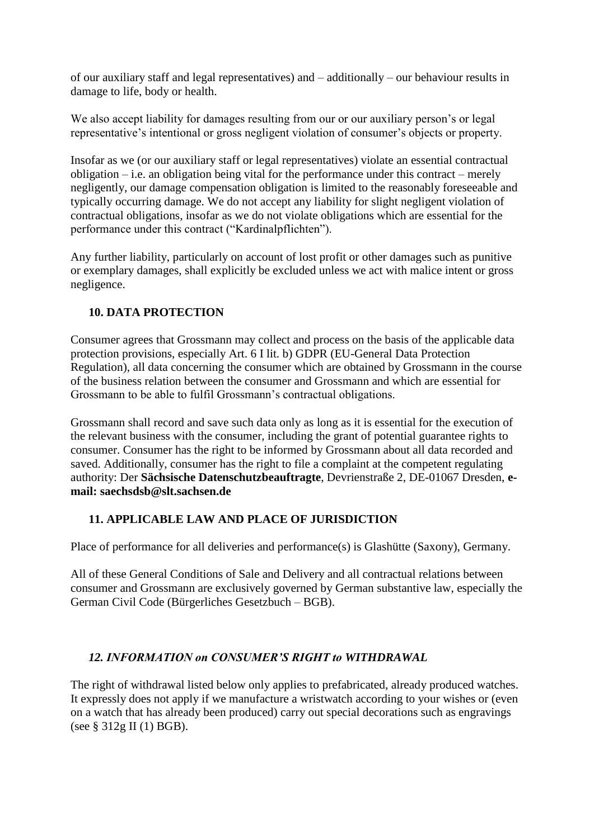of our auxiliary staff and legal representatives) and – additionally – our behaviour results in damage to life, body or health.

We also accept liability for damages resulting from our or our auxiliary person's or legal representative's intentional or gross negligent violation of consumer's objects or property.

Insofar as we (or our auxiliary staff or legal representatives) violate an essential contractual obligation – i.e. an obligation being vital for the performance under this contract – merely negligently, our damage compensation obligation is limited to the reasonably foreseeable and typically occurring damage. We do not accept any liability for slight negligent violation of contractual obligations, insofar as we do not violate obligations which are essential for the performance under this contract ("Kardinalpflichten").

Any further liability, particularly on account of lost profit or other damages such as punitive or exemplary damages, shall explicitly be excluded unless we act with malice intent or gross negligence.

## **10. DATA PROTECTION**

Consumer agrees that Grossmann may collect and process on the basis of the applicable data protection provisions, especially Art. 6 I lit. b) GDPR (EU-General Data Protection Regulation), all data concerning the consumer which are obtained by Grossmann in the course of the business relation between the consumer and Grossmann and which are essential for Grossmann to be able to fulfil Grossmann's contractual obligations.

Grossmann shall record and save such data only as long as it is essential for the execution of the relevant business with the consumer, including the grant of potential guarantee rights to consumer. Consumer has the right to be informed by Grossmann about all data recorded and saved. Additionally, consumer has the right to file a complaint at the competent regulating authority: Der **Sächsische Datenschutzbeauftragte**, Devrienstraße 2, DE-01067 Dresden, **email: saechsdsb@slt.sachsen.de**

## **11. APPLICABLE LAW AND PLACE OF JURISDICTION**

Place of performance for all deliveries and performance(s) is Glashütte (Saxony), Germany.

All of these General Conditions of Sale and Delivery and all contractual relations between consumer and Grossmann are exclusively governed by German substantive law, especially the German Civil Code (Bürgerliches Gesetzbuch – BGB).

#### *12. INFORMATION on CONSUMER'S RIGHT to WITHDRAWAL*

The right of withdrawal listed below only applies to prefabricated, already produced watches. It expressly does not apply if we manufacture a wristwatch according to your wishes or (even on a watch that has already been produced) carry out special decorations such as engravings (see § 312g II (1) BGB).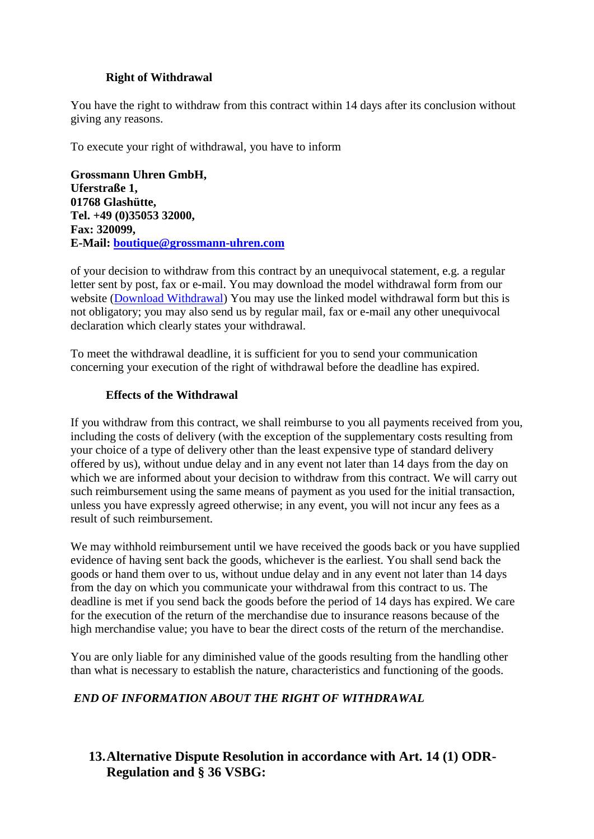#### **Right of Withdrawal**

You have the right to withdraw from this contract within 14 days after its conclusion without giving any reasons.

To execute your right of withdrawal, you have to inform

**Grossmann Uhren GmbH, Uferstraße 1, 01768 Glashütte, Tel. +49 (0)35053 32000, Fax: 320099, E-Mail: [boutique@grossmann-uhren.com](mailto:boutique@grossmann-uhren.com)**

of your decision to withdraw from this contract by an unequivocal statement, e.g. a regular letter sent by post, fax or e-mail. You may download the model withdrawal form from our website [\(Download Withdrawal\)](https://boutique.grossmann-uhren.com/wp-content/uploads/Widerrufsformular-ENG-1-2.pdf) You may use the linked model withdrawal form but this is not obligatory; you may also send us by regular mail, fax or e-mail any other unequivocal declaration which clearly states your withdrawal.

To meet the withdrawal deadline, it is sufficient for you to send your communication concerning your execution of the right of withdrawal before the deadline has expired.

#### **Effects of the Withdrawal**

If you withdraw from this contract, we shall reimburse to you all payments received from you, including the costs of delivery (with the exception of the supplementary costs resulting from your choice of a type of delivery other than the least expensive type of standard delivery offered by us), without undue delay and in any event not later than 14 days from the day on which we are informed about your decision to withdraw from this contract. We will carry out such reimbursement using the same means of payment as you used for the initial transaction, unless you have expressly agreed otherwise; in any event, you will not incur any fees as a result of such reimbursement.

We may withhold reimbursement until we have received the goods back or you have supplied evidence of having sent back the goods, whichever is the earliest. You shall send back the goods or hand them over to us, without undue delay and in any event not later than 14 days from the day on which you communicate your withdrawal from this contract to us. The deadline is met if you send back the goods before the period of 14 days has expired. We care for the execution of the return of the merchandise due to insurance reasons because of the high merchandise value; you have to bear the direct costs of the return of the merchandise.

You are only liable for any diminished value of the goods resulting from the handling other than what is necessary to establish the nature, characteristics and functioning of the goods.

## *END OF INFORMATION ABOUT THE RIGHT OF WITHDRAWAL*

## **13.Alternative Dispute Resolution in accordance with Art. 14 (1) ODR-Regulation and § 36 VSBG:**